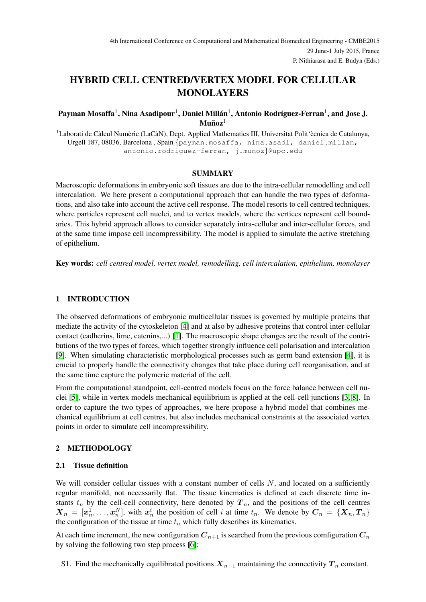# HYBRID CELL CENTRED/VERTEX MODEL FOR CELLULAR MONOLAYERS

# Payman Mosaffa $^1$ , Nina Asadipour $^1$ , Daniel Millán $^1$ , Antonio Rodríguez-Ferran $^1$ , and Jose J.  $\mathbf{M}$ uñoz $^1$

 $1$ Laborati de Càlcul Numèric (LaCàN), Dept. Applied Mathematics III, Universitat Polit'ècnica de Catalunya, Urgell 187, 08036, Barcelona , Spain {payman.mosaffa, nina.asadi, daniel.millan, antonio.rodriguez-ferran, j.munoz}@upc.edu

### SUMMARY

Macroscopic deformations in embryonic soft tissues are due to the intra-cellular remodelling and cell intercalation. We here present a computational approach that can handle the two types of deformations, and also take into account the active cell response. The model resorts to cell centred techniques, where particles represent cell nuclei, and to vertex models, where the vertices represent cell boundaries. This hybrid approach allows to consider separately intra-cellular and inter-cellular forces, and at the same time impose cell incompressibility. The model is applied to simulate the active stretching of epithelium.

Key words: *cell centred model, vertex model, remodelling, cell intercalation, epithelium, monolayer*

## 1 INTRODUCTION

The observed deformations of embryonic multicellular tissues is governed by multiple proteins that mediate the activity of the cytoskeleton [\[4\]](#page-3-0) and at also by adhesive proteins that control inter-cellular contact (cadherins, lime, catenins,...) [\[1\]](#page-3-1). The macroscopic shape changes are the result of the contributions of the two types of forces, which together strongly influence cell polarisation and intercalation [\[9\]](#page-3-2). When simulating characteristic morphological processes such as germ band extension [\[4\]](#page-3-0), it is crucial to properly handle the connectivity changes that take place during cell reorganisation, and at the same time capture the polymeric material of the cell.

From the computational standpoint, cell-centred models focus on the force balance between cell nuclei [\[5\]](#page-3-3), while in vertex models mechanical equilibrium is applied at the cell-cell junctions [\[3,](#page-3-4) [8\]](#page-3-5). In order to capture the two types of approaches, we here propose a hybrid model that combines mechanical equilibrium at cell centres, but also includes mechanical constraints at the associated vertex points in order to simulate cell incompressibility.

# 2 METHODOLOGY

### 2.1 Tissue definition

We will consider cellular tissues with a constant number of cells  $N$ , and located on a sufficiently regular manifold, not necessarily flat. The tissue kinematics is defined at each discrete time instants  $t_n$  by the cell-cell connectivity, here denoted by  $T_n$ , and the positions of the cell centres  $\boldsymbol{X}_n = [\boldsymbol{x}_n^1, \dots, \boldsymbol{x}_n^N]$ , with  $\boldsymbol{x}_n^i$  the position of cell i at time  $t_n$ . We denote by  $\boldsymbol{C}_n = \{\boldsymbol{X}_n, \boldsymbol{T}_n\}$ the configuration of the tissue at time  $t_n$  which fully describes its kinematics.

At each time increment, the new configuration  $C_{n+1}$  is searched from the previous comfiguration  $C_n$ by solving the following two step process [\[6\]](#page-3-6):

S1. Find the mechanically equilibrated positions  $X_{n+1}$  maintaining the connectivity  $T_n$  constant.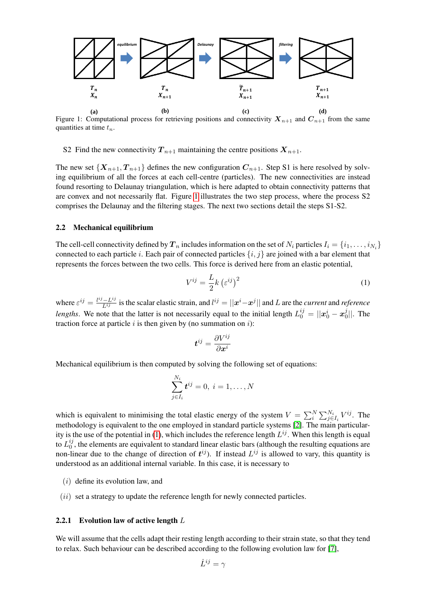

<span id="page-1-0"></span>Figure 1: Computational process for retrieving positions and connectivity  $X_{n+1}$  and  $C_{n+1}$  from the same quantities at time  $t_n$ .

S2 Find the new connectivity  $T_{n+1}$  maintaining the centre positions  $X_{n+1}$ .

The new set  $\{X_{n+1}, T_{n+1}\}\$  defines the new configuration  $C_{n+1}$ . Step S1 is here resolved by solving equilibrium of all the forces at each cell-centre (particles). The new connectivities are instead found resorting to Delaunay triangulation, which is here adapted to obtain connectivity patterns that are convex and not necessarily flat. Figure [1](#page-1-0) illustrates the two step process, where the process S2 comprises the Delaunay and the filtering stages. The next two sections detail the steps S1-S2.

#### 2.2 Mechanical equilibrium

The cell-cell connectivity defined by  $T_n$  includes information on the set of  $N_i$  particles  $I_i = \{i_1, \ldots, i_{N_i}\}$ connected to each particle i. Each pair of connected particles  $\{i, j\}$  are joined with a bar element that represents the forces between the two cells. This force is derived here from an elastic potential,

<span id="page-1-1"></span>
$$
V^{ij} = \frac{L}{2}k\left(\varepsilon^{ij}\right)^2\tag{1}
$$

where  $\varepsilon^{ij} = \frac{l^{ij} - L^{ij}}{L^{ij}}$  is the scalar elastic strain, and  $l^{ij} = ||x^i - x^j||$  and L are the *current* and *reference lengths*. We note that the latter is not necessarily equal to the initial length  $L_0^{ij} = ||x_0^i - x_0^j||$  $\frac{3}{0}$ ||. The traction force at particle  $i$  is then given by (no summation on  $i$ ):

$$
\boldsymbol{t}^{ij}=\frac{\partial V^{ij}}{\partial \boldsymbol{x}^{i}}
$$

Mechanical equilibrium is then computed by solving the following set of equations:

$$
\sum_{j\in I_i}^{N_i} \boldsymbol{t}^{ij}=0,\ i=1,\ldots,N
$$

which is equivalent to minimising the total elastic energy of the system  $V = \sum_{i}^{N} \sum_{j \in I_i}^{N_i} V^{ij}$ . The methodology is equivalent to the one employed in standard particle systems [\[2\]](#page-3-7). The main particular-ity is the use of the potential in [\(1\)](#page-1-1), which includes the reference length  $L^{ij}$ . When this length is equal to  $L_0^{ij}$  $\frac{v_j}{0}$ , the elements are equivalent to standard linear elastic bars (although the resulting equations are non-linear due to the change of direction of  $t^{ij}$ ). If instead  $L^{ij}$  is allowed to vary, this quantity is understood as an additional internal variable. In this case, it is necessary to

- $(i)$  define its evolution law, and
- $(ii)$  set a strategy to update the reference length for newly connected particles.

### 2.2.1 Evolution law of active length  $L$

We will assume that the cells adapt their resting length according to their strain state, so that they tend to relax. Such behaviour can be described according to the following evolution law for [\[7\]](#page-3-8),

$$
\dot{L}^{ij} = \gamma
$$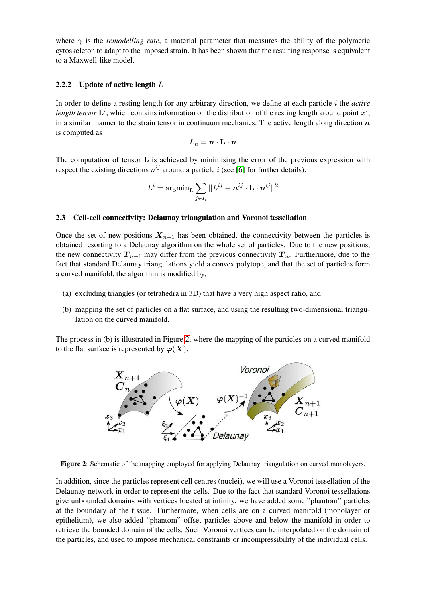where  $\gamma$  is the *remodelling rate*, a material parameter that measures the ability of the polymeric cytoskeleton to adapt to the imposed strain. It has been shown that the resulting response is equivalent to a Maxwell-like model.

### 2.2.2 Update of active length  $L$

In order to define a resting length for any arbitrary direction, we define at each particle i the *active* length tensor  $\mathbf{L}^i$ , which contains information on the distribution of the resting length around point  $x^i$ , in a similar manner to the strain tensor in continuum mechanics. The active length along direction  $n$ is computed as

$$
L_n = \boldsymbol{n} \cdot \mathbf{L} \cdot \boldsymbol{n}
$$

The computation of tensor  $L$  is achieved by minimising the error of the previous expression with respect the existing directions  $n^{ij}$  around a particle i (see [\[6\]](#page-3-6) for further details):

$$
L^i = \mathop{\rm argmin}_{\mathbf{L}} \sum_{j \in I_i} ||L^{ij} - \bm{n}^{ij} \cdot \mathbf{L} \cdot \bm{n}^{ij}||^2
$$

#### 2.3 Cell-cell connectivity: Delaunay triangulation and Voronoi tessellation

Once the set of new positions  $X_{n+1}$  has been obtained, the connectivity between the particles is obtained resorting to a Delaunay algorithm on the whole set of particles. Due to the new positions, the new connectivity  $T_{n+1}$  may differ from the previous connectivity  $T_n$ . Furthermore, due to the fact that standard Delaunay triangulations yield a convex polytope, and that the set of particles form a curved manifold, the algorithm is modified by,

- (a) excluding triangles (or tetrahedra in 3D) that have a very high aspect ratio, and
- (b) mapping the set of particles on a flat surface, and using the resulting two-dimensional triangulation on the curved manifold.

The process in (b) is illustrated in Figure [2,](#page-2-0) where the mapping of the particles on a curved manifold to the flat surface is represented by  $\varphi(X)$ .



<span id="page-2-0"></span>Figure 2: Schematic of the mapping employed for applying Delaunay triangulation on curved monolayers.

In addition, since the particles represent cell centres (nuclei), we will use a Voronoi tessellation of the Delaunay network in order to represent the cells. Due to the fact that standard Voronoi tessellations give unbounded domains with vertices located at infinity, we have added some "phantom" particles at the boundary of the tissue. Furthermore, when cells are on a curved manifold (monolayer or epithelium), we also added "phantom" offset particles above and below the manifold in order to retrieve the bounded domain of the cells. Such Voronoi vertices can be interpolated on the domain of the particles, and used to impose mechanical constraints or incompressibility of the individual cells.